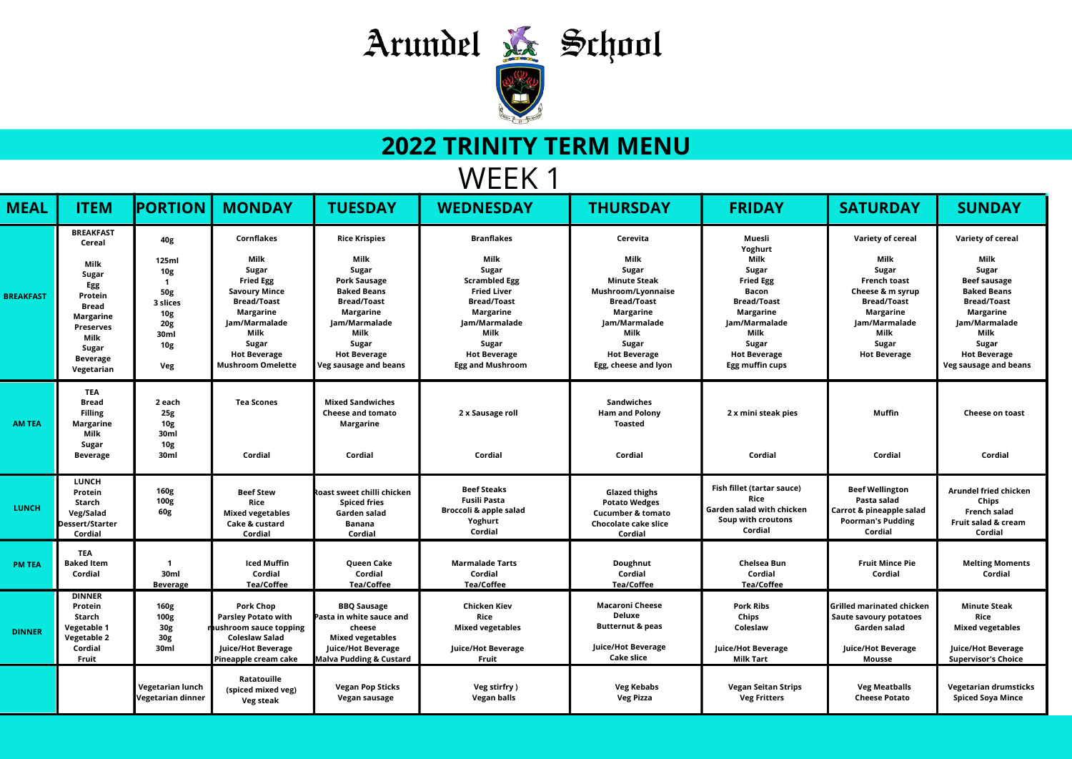## **2022 TRINITY TERM MENU**





| WEFK             |                                                                                                                                                                                                            |                                                                                                                                |                                                                                                                                                                                                                      |                                                                                                                                                                                                                                     |                                                                                                                                                                                                                |                                                                                                                                                                                                          |                                                                                                                                                                                                                   |                                                                                                                                                                                                |                                                                                                                                                                                                                                  |  |
|------------------|------------------------------------------------------------------------------------------------------------------------------------------------------------------------------------------------------------|--------------------------------------------------------------------------------------------------------------------------------|----------------------------------------------------------------------------------------------------------------------------------------------------------------------------------------------------------------------|-------------------------------------------------------------------------------------------------------------------------------------------------------------------------------------------------------------------------------------|----------------------------------------------------------------------------------------------------------------------------------------------------------------------------------------------------------------|----------------------------------------------------------------------------------------------------------------------------------------------------------------------------------------------------------|-------------------------------------------------------------------------------------------------------------------------------------------------------------------------------------------------------------------|------------------------------------------------------------------------------------------------------------------------------------------------------------------------------------------------|----------------------------------------------------------------------------------------------------------------------------------------------------------------------------------------------------------------------------------|--|
| <b>MEAL</b>      | <b>ITEM</b>                                                                                                                                                                                                | <b>PORTION</b>                                                                                                                 | <b>MONDAY</b>                                                                                                                                                                                                        | <b>TUESDAY</b>                                                                                                                                                                                                                      | <b>WEDNESDAY</b>                                                                                                                                                                                               | <b>THURSDAY</b>                                                                                                                                                                                          | <b>FRIDAY</b>                                                                                                                                                                                                     | <b>SATURDAY</b>                                                                                                                                                                                | <b>SUNDAY</b>                                                                                                                                                                                                                    |  |
| <b>BREAKFAST</b> | <b>BREAKFAST</b><br><b>Cereal</b><br><b>Milk</b><br><b>Sugar</b><br>Egg<br><b>Protein</b><br>Bread<br><b>Margarine</b><br><b>Preserves</b><br><b>Milk</b><br><b>Sugar</b><br><b>Beverage</b><br>Vegetarian | 40g<br><b>125ml</b><br><b>10g</b><br><b>50g</b><br>3 slices<br>10 <sub>g</sub><br><b>20g</b><br>30ml<br>10 <sub>g</sub><br>Veg | <b>Cornflakes</b><br>Milk<br><b>Sugar</b><br><b>Fried Egg</b><br><b>Savoury Mince</b><br><b>Bread/Toast</b><br><b>Margarine</b><br>Jam/Marmalade<br>Milk<br>Sugar<br><b>Hot Beverage</b><br><b>Mushroom Omelette</b> | <b>Rice Krispies</b><br><b>Milk</b><br>Sugar<br><b>Pork Sausage</b><br><b>Baked Beans</b><br><b>Bread/Toast</b><br><b>Margarine</b><br>Jam/Marmalade<br>Milk<br><b>Sugar</b><br><b>Hot Beverage</b><br><b>Veg sausage and beans</b> | <b>Branflakes</b><br>Milk<br>Sugar<br><b>Scrambled Egg</b><br><b>Fried Liver</b><br><b>Bread/Toast</b><br>Margarine<br>Jam/Marmalade<br>Milk<br><b>Sugar</b><br><b>Hot Beverage</b><br><b>Egg and Mushroom</b> | Cerevita<br>Milk<br><b>Sugar</b><br><b>Minute Steak</b><br>Mushroom/Lyonnaise<br><b>Bread/Toast</b><br>Margarine<br>Jam/Marmalade<br><b>Milk</b><br>Sugar<br><b>Hot Beverage</b><br>Egg, cheese and lyon | <b>Muesli</b><br>Yoghurt<br>Milk<br><b>Sugar</b><br><b>Fried Egg</b><br><b>Bacon</b><br><b>Bread/Toast</b><br><b>Margarine</b><br>Jam/Marmalade<br>Milk<br><b>Sugar</b><br><b>Hot Beverage</b><br>Egg muffin cups | <b>Variety of cereal</b><br>Milk<br><b>Sugar</b><br><b>French toast</b><br>Cheese & m syrup<br><b>Bread/Toast</b><br>Margarine<br>Jam/Marmalade<br>Milk<br><b>Sugar</b><br><b>Hot Beverage</b> | <b>Variety of cereal</b><br><b>Milk</b><br>Sugar<br><b>Beef sausage</b><br><b>Baked Beans</b><br><b>Bread/Toast</b><br>Margarine<br>Jam/Marmalade<br>Milk<br><b>Sugar</b><br><b>Hot Beverage</b><br><b>Veg sausage and beans</b> |  |
| <b>AM TEA</b>    | <b>TEA</b><br><b>Bread</b><br><b>Filling</b><br>Margarine<br><b>Milk</b><br><b>Sugar</b><br><b>Beverage</b>                                                                                                | 2 each<br><b>25g</b><br><b>10g</b><br>30ml<br><b>10g</b><br>30ml                                                               | <b>Tea Scones</b><br><b>Cordial</b>                                                                                                                                                                                  | <b>Mixed Sandwiches</b><br><b>Cheese and tomato</b><br>Margarine<br><b>Cordial</b>                                                                                                                                                  | 2 x Sausage roll<br><b>Cordial</b>                                                                                                                                                                             | <b>Sandwiches</b><br><b>Ham and Polony</b><br><b>Toasted</b><br><b>Cordial</b>                                                                                                                           | 2 x mini steak pies<br><b>Cordial</b>                                                                                                                                                                             | Muffin<br><b>Cordial</b>                                                                                                                                                                       | <b>Cheese on toast</b><br><b>Cordial</b>                                                                                                                                                                                         |  |
| <b>LUNCH</b>     | <b>LUNCH</b><br><b>Protein</b><br>Starch<br><b>Veg/Salad</b><br>Dessert/Starter<br><b>Cordial</b>                                                                                                          | <b>160g</b><br>100g<br><b>60g</b>                                                                                              | <b>Beef Stew</b><br><b>Rice</b><br><b>Mixed vegetables</b><br><b>Cake &amp; custard</b><br><b>Cordial</b>                                                                                                            | Roast sweet chilli chicken<br><b>Spiced fries</b><br>Garden salad<br><b>Banana</b><br><b>Cordial</b>                                                                                                                                | <b>Beef Steaks</b><br><b>Fusili Pasta</b><br><b>Broccoli &amp; apple salad</b><br>Yoghurt<br><b>Cordial</b>                                                                                                    | <b>Glazed thighs</b><br><b>Potato Wedges</b><br><b>Cucumber &amp; tomato</b><br><b>Chocolate cake slice</b><br><b>Cordial</b>                                                                            | <b>Fish fillet (tartar sauce)</b><br>Rice<br><b>Garden salad with chicken</b><br>Soup with croutons<br><b>Cordial</b>                                                                                             | <b>Beef Wellington</b><br>Pasta salad<br><b>Carrot &amp; pineapple salad</b><br><b>Poorman's Pudding</b><br><b>Cordial</b>                                                                     | <b>Arundel fried chicken</b><br>Chips<br><b>French salad</b><br><b>Fruit salad &amp; cream</b><br>Cordial                                                                                                                        |  |
| <b>PM TEA</b>    | <b>TEA</b><br><b>Baked Item</b><br><b>Cordial</b>                                                                                                                                                          | 30ml<br><b>Beverage</b>                                                                                                        | <b>Iced Muffin</b><br><b>Cordial</b><br><b>Tea/Coffee</b>                                                                                                                                                            | <b>Queen Cake</b><br><b>Cordial</b><br><b>Tea/Coffee</b>                                                                                                                                                                            | <b>Marmalade Tarts</b><br>Cordial<br><b>Tea/Coffee</b>                                                                                                                                                         | <b>Doughnut</b><br><b>Cordial</b><br><b>Tea/Coffee</b>                                                                                                                                                   | <b>Chelsea Bun</b><br><b>Cordial</b><br><b>Tea/Coffee</b>                                                                                                                                                         | <b>Fruit Mince Pie</b><br><b>Cordial</b>                                                                                                                                                       | <b>Melting Moments</b><br><b>Cordial</b>                                                                                                                                                                                         |  |
| <b>DINNER</b>    | <b>DINNER</b><br><b>Protein</b><br>Starch<br><b>Vegetable 1</b><br><b>Vegetable 2</b><br><b>Cordial</b><br>Fruit                                                                                           | <b>160g</b><br>100g<br><b>30g</b><br><b>30g</b><br>30ml                                                                        | <b>Pork Chop</b><br><b>Parsley Potato with</b><br>mushroom sauce topping<br><b>Coleslaw Salad</b><br><b>Juice/Hot Beverage</b><br><b>Pineapple cream cake</b>                                                        | <b>BBQ Sausage</b><br>Pasta in white sauce and<br>cheese<br><b>Mixed vegetables</b><br><b>Juice/Hot Beverage</b><br><b>Malva Pudding &amp; Custard</b>                                                                              | <b>Chicken Kiev</b><br><b>Rice</b><br><b>Mixed vegetables</b><br><b>Juice/Hot Beverage</b><br>Fruit                                                                                                            | <b>Macaroni Cheese</b><br><b>Deluxe</b><br><b>Butternut &amp; peas</b><br><b>Juice/Hot Beverage</b><br><b>Cake slice</b>                                                                                 | <b>Pork Ribs</b><br><b>Chips</b><br>Coleslaw<br><b>Juice/Hot Beverage</b><br><b>Milk Tart</b>                                                                                                                     | Grilled marinated chicken<br><b>Saute savoury potatoes</b><br>Garden salad<br><b>Juice/Hot Beverage</b><br><b>Mousse</b>                                                                       | <b>Minute Steak</b><br><b>Rice</b><br><b>Mixed vegetables</b><br><b>Juice/Hot Beverage</b><br><b>Supervisor's Choice</b>                                                                                                         |  |
|                  |                                                                                                                                                                                                            | Vegetarian lunch<br>Vegetarian dinner                                                                                          | Ratatouille<br>(spiced mixed veg)<br><b>Veg steak</b>                                                                                                                                                                | <b>Vegan Pop Sticks</b><br>Vegan sausage                                                                                                                                                                                            | Veg stirfry)<br><b>Vegan balls</b>                                                                                                                                                                             | <b>Veg Kebabs</b><br><b>Veg Pizza</b>                                                                                                                                                                    | <b>Vegan Seitan Strips</b><br><b>Veg Fritters</b>                                                                                                                                                                 | <b>Veg Meatballs</b><br><b>Cheese Potato</b>                                                                                                                                                   | <b>Vegetarian drumsticks</b><br><b>Spiced Soya Mince</b>                                                                                                                                                                         |  |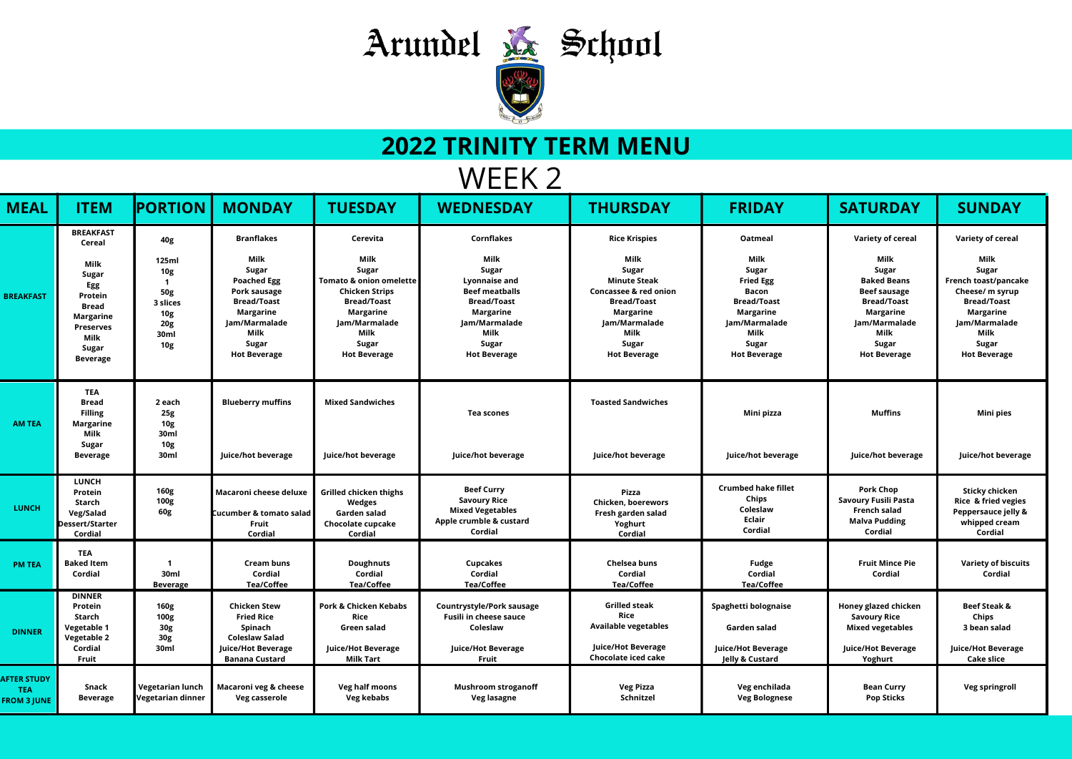





## WEEK 2 **2022 TRINITY TERM MENU**

| <b>MEAL</b>                                            | <b>ITEM</b>                                                                                                                                                                           | <b>PORTION</b>                                                                                                              | <b>MONDAY</b>                                                                                                                                                                             | <b>TUESDAY</b>                                                                                                                                                                                     | <b>WEDNESDAY</b>                                                                                                                                                                                            | <b>THURSDAY</b>                                                                                                                                                                                            | <b>FRIDAY</b>                                                                                                                                                                               | <b>SATURDAY</b>                                                                                                                                                                                  | <b>SUNDAY</b>                                                                                                                                                                                         |
|--------------------------------------------------------|---------------------------------------------------------------------------------------------------------------------------------------------------------------------------------------|-----------------------------------------------------------------------------------------------------------------------------|-------------------------------------------------------------------------------------------------------------------------------------------------------------------------------------------|----------------------------------------------------------------------------------------------------------------------------------------------------------------------------------------------------|-------------------------------------------------------------------------------------------------------------------------------------------------------------------------------------------------------------|------------------------------------------------------------------------------------------------------------------------------------------------------------------------------------------------------------|---------------------------------------------------------------------------------------------------------------------------------------------------------------------------------------------|--------------------------------------------------------------------------------------------------------------------------------------------------------------------------------------------------|-------------------------------------------------------------------------------------------------------------------------------------------------------------------------------------------------------|
| <b>BREAKFAST</b>                                       | <b>BREAKFAST</b><br><b>Cereal</b><br><b>Milk</b><br><b>Sugar</b><br><b>Egg</b><br>Protein<br>Bread<br><b>Margarine</b><br><b>Preserves</b><br><b>Milk</b><br>Sugar<br><b>Beverage</b> | <b>40g</b><br><b>125ml</b><br><b>10g</b><br><b>50g</b><br>3 slices<br><b>10g</b><br><b>20g</b><br><b>30ml</b><br><b>10g</b> | <b>Branflakes</b><br>Milk<br>Sugar<br><b>Poached Egg</b><br>Pork sausage<br><b>Bread/Toast</b><br><b>Margarine</b><br>Jam/Marmalade<br><b>Milk</b><br><b>Sugar</b><br><b>Hot Beverage</b> | Cerevita<br>Milk<br><b>Sugar</b><br><b>Tomato &amp; onion omelette</b><br><b>Chicken Strips</b><br><b>Bread/Toast</b><br>Margarine<br>Jam/Marmalade<br>Milk<br><b>Sugar</b><br><b>Hot Beverage</b> | <b>Cornflakes</b><br>Milk<br><b>Sugar</b><br><b>Lyonnaise and</b><br><b>Beef meatballs</b><br><b>Bread/Toast</b><br><b>Margarine</b><br>Jam/Marmalade<br><b>Milk</b><br><b>Sugar</b><br><b>Hot Beverage</b> | <b>Rice Krispies</b><br>Milk<br>Sugar<br><b>Minute Steak</b><br><b>Concassee &amp; red onion</b><br><b>Bread/Toast</b><br><b>Margarine</b><br>Jam/Marmalade<br><b>Milk</b><br>Sugar<br><b>Hot Beverage</b> | <b>Oatmeal</b><br>Milk<br><b>Sugar</b><br><b>Fried Egg</b><br><b>Bacon</b><br><b>Bread/Toast</b><br><b>Margarine</b><br>Jam/Marmalade<br><b>Milk</b><br><b>Sugar</b><br><b>Hot Beverage</b> | <b>Variety of cereal</b><br>Milk<br><b>Sugar</b><br><b>Baked Beans</b><br><b>Beef sausage</b><br><b>Bread/Toast</b><br>Margarine<br>Jam/Marmalade<br>Milk<br><b>Sugar</b><br><b>Hot Beverage</b> | <b>Variety of cereal</b><br>Milk<br>Sugar<br><b>French toast/pancake</b><br>Cheese/ m syrup<br><b>Bread/Toast</b><br><b>Margarine</b><br>Jam/Marmalade<br><b>Milk</b><br>Sugar<br><b>Hot Beverage</b> |
| <b>AM TEA</b>                                          | <b>TEA</b><br>Bread<br><b>Filling</b><br><b>Margarine</b><br>Milk<br>Sugar<br><b>Beverage</b>                                                                                         | 2 each<br>25g<br><b>10g</b><br>30ml<br><b>10g</b><br>30ml                                                                   | <b>Blueberry muffins</b><br>Juice/hot beverage                                                                                                                                            | <b>Mixed Sandwiches</b><br><b>Juice/hot beverage</b>                                                                                                                                               | <b>Tea scones</b><br>Juice/hot beverage                                                                                                                                                                     | <b>Toasted Sandwiches</b><br>Juice/hot beverage                                                                                                                                                            | Mini pizza<br><b>Juice/hot beverage</b>                                                                                                                                                     | <b>Muffins</b><br><b>Juice/hot beverage</b>                                                                                                                                                      | <b>Mini pies</b><br>Juice/hot beverage                                                                                                                                                                |
| <b>LUNCH</b>                                           | <b>LUNCH</b><br>Protein<br><b>Starch</b><br>Veg/Salad<br><b>Dessert/Starter</b><br><b>Cordial</b>                                                                                     | 160g<br><b>100g</b><br><b>60g</b>                                                                                           | Macaroni cheese deluxe<br><b>Cucumber &amp; tomato salad</b><br><b>Fruit</b><br><b>Cordial</b>                                                                                            | <b>Grilled chicken thighs</b><br>Wedges<br>Garden salad<br><b>Chocolate cupcake</b><br><b>Cordial</b>                                                                                              | <b>Beef Curry</b><br><b>Savoury Rice</b><br><b>Mixed Vegetables</b><br>Apple crumble & custard<br><b>Cordial</b>                                                                                            | <b>Pizza</b><br><b>Chicken, boerewors</b><br>Fresh garden salad<br>Yoghurt<br><b>Cordial</b>                                                                                                               | <b>Crumbed hake fillet</b><br>Chips<br><b>Coleslaw</b><br>Eclair<br><b>Cordial</b>                                                                                                          | <b>Pork Chop</b><br><b>Savoury Fusili Pasta</b><br><b>French salad</b><br><b>Malva Pudding</b><br>Cordial                                                                                        | <b>Sticky chicken</b><br><b>Rice &amp; fried vegies</b><br><b>Peppersauce jelly &amp;</b><br>whipped cream<br>Cordial                                                                                 |
| <b>PM TEA</b>                                          | <b>TEA</b><br><b>Baked Item</b><br><b>Cordial</b>                                                                                                                                     | 30ml<br><b>Beverage</b>                                                                                                     | <b>Cream buns</b><br><b>Cordial</b><br><b>Tea/Coffee</b>                                                                                                                                  | <b>Doughnuts</b><br><b>Cordial</b><br><b>Tea/Coffee</b>                                                                                                                                            | <b>Cupcakes</b><br><b>Cordial</b><br><b>Tea/Coffee</b>                                                                                                                                                      | Chelsea buns<br><b>Cordial</b><br><b>Tea/Coffee</b>                                                                                                                                                        | <b>Fudge</b><br><b>Cordial</b><br><b>Tea/Coffee</b>                                                                                                                                         | <b>Fruit Mince Pie</b><br><b>Cordial</b>                                                                                                                                                         | <b>Variety of biscuits</b><br><b>Cordial</b>                                                                                                                                                          |
| <b>DINNER</b>                                          | <b>DINNER</b><br><b>Protein</b><br><b>Starch</b><br><b>Vegetable 1</b><br><b>Vegetable 2</b><br><b>Cordial</b><br><b>Fruit</b>                                                        | <b>160g</b><br>100g<br><b>30g</b><br><b>30g</b><br>30ml                                                                     | <b>Chicken Stew</b><br><b>Fried Rice</b><br><b>Spinach</b><br><b>Coleslaw Salad</b><br><b>Juice/Hot Beverage</b><br><b>Banana Custard</b>                                                 | <b>Pork &amp; Chicken Kebabs</b><br><b>Rice</b><br>Green salad<br><b>Juice/Hot Beverage</b><br><b>Milk Tart</b>                                                                                    | <b>Countrystyle/Pork sausage</b><br><b>Fusili in cheese sauce</b><br>Coleslaw<br><b>Juice/Hot Beverage</b><br>Fruit                                                                                         | <b>Grilled steak</b><br><b>Rice</b><br><b>Available vegetables</b><br><b>Juice/Hot Beverage</b><br><b>Chocolate iced cake</b>                                                                              | Spaghetti bolognaise<br>Garden salad<br><b>Juice/Hot Beverage</b><br><b>Jelly &amp; Custard</b>                                                                                             | <b>Honey glazed chicken</b><br><b>Savoury Rice</b><br><b>Mixed vegetables</b><br><b>Juice/Hot Beverage</b><br>Yoghurt                                                                            | <b>Beef Steak &amp;</b><br><b>Chips</b><br>3 bean salad<br><b>Juice/Hot Beverage</b><br><b>Cake slice</b>                                                                                             |
| <b>AFTER STUDY</b><br><b>TEA</b><br><b>FROM 3 JUNE</b> | Snack<br><b>Beverage</b>                                                                                                                                                              | Vegetarian lunch<br>Vegetarian dinner                                                                                       | <b>Macaroni veg &amp; cheese</b><br>Veg casserole                                                                                                                                         | <b>Veg half moons</b><br><b>Veg kebabs</b>                                                                                                                                                         | <b>Mushroom stroganoff</b><br>Veg lasagne                                                                                                                                                                   | <b>Veg Pizza</b><br>Schnitzel                                                                                                                                                                              | Veg enchilada<br><b>Veg Bolognese</b>                                                                                                                                                       | <b>Bean Curry</b><br><b>Pop Sticks</b>                                                                                                                                                           | <b>Veg springroll</b>                                                                                                                                                                                 |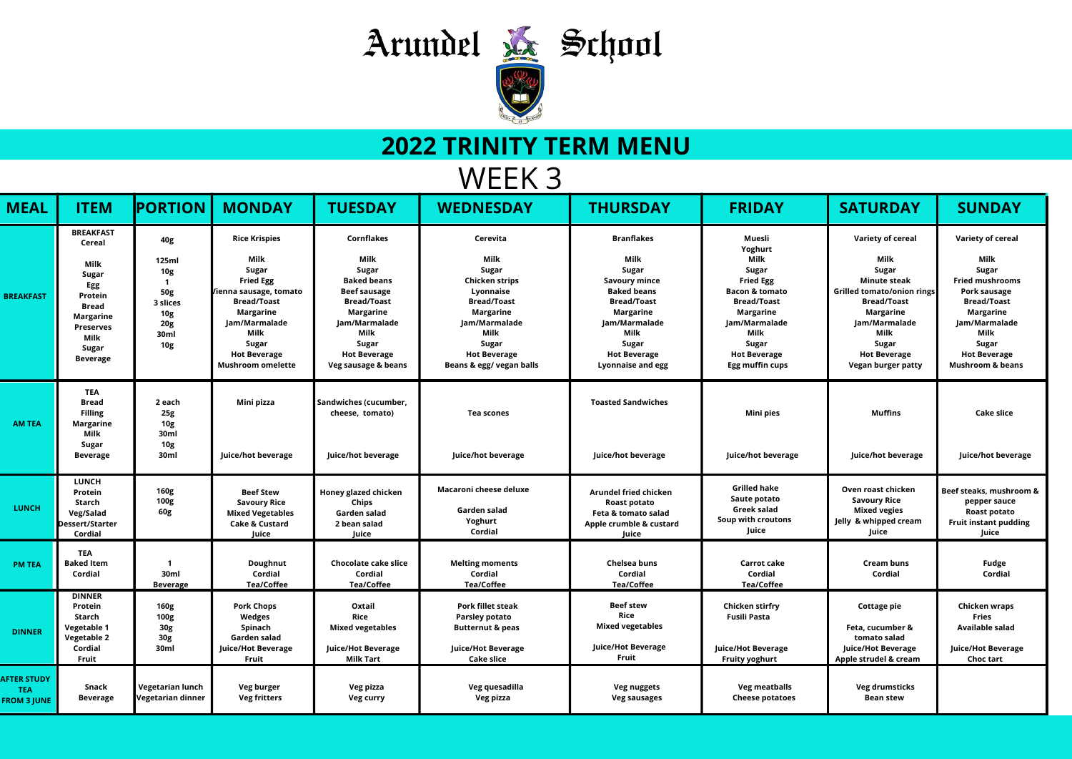





# WEEK 3 **2022 TRINITY TERM MENU**

| <b>MEAL</b>                                            | <b>ITEM</b>                                                                                                                                                                                  | <b>IPORTION</b>                                                                                                                  | <b>MONDAY</b>                                                                                                                                                                                                                           | <b>TUESDAY</b>                                                                                                                                                                                                          | <b>WEDNESDAY</b>                                                                                                                                                                                                                      | <b>THURSDAY</b>                                                                                                                                                                                                        | <b>FRIDAY</b>                                                                                                                                                                                                                                | <b>SATURDAY</b>                                                                                                                                                                                                                              | <b>SUNDAY</b>                                                                                                                                                                                                                       |
|--------------------------------------------------------|----------------------------------------------------------------------------------------------------------------------------------------------------------------------------------------------|----------------------------------------------------------------------------------------------------------------------------------|-----------------------------------------------------------------------------------------------------------------------------------------------------------------------------------------------------------------------------------------|-------------------------------------------------------------------------------------------------------------------------------------------------------------------------------------------------------------------------|---------------------------------------------------------------------------------------------------------------------------------------------------------------------------------------------------------------------------------------|------------------------------------------------------------------------------------------------------------------------------------------------------------------------------------------------------------------------|----------------------------------------------------------------------------------------------------------------------------------------------------------------------------------------------------------------------------------------------|----------------------------------------------------------------------------------------------------------------------------------------------------------------------------------------------------------------------------------------------|-------------------------------------------------------------------------------------------------------------------------------------------------------------------------------------------------------------------------------------|
| <b>BREAKFAST</b>                                       | <b>BREAKFAST</b><br><b>Cereal</b><br><b>Milk</b><br>Sugar<br><b>Egg</b><br><b>Protein</b><br><b>Bread</b><br><b>Margarine</b><br><b>Preserves</b><br>Milk<br><b>Sugar</b><br><b>Beverage</b> | <b>40g</b><br><b>125ml</b><br><b>10g</b><br><b>50g</b><br>3 slices<br>10 <sub>g</sub><br><b>20g</b><br><b>30ml</b><br><b>10g</b> | <b>Rice Krispies</b><br><b>Milk</b><br><b>Sugar</b><br><b>Fried Egg</b><br>Vienna sausage, tomato<br><b>Bread/Toast</b><br><b>Margarine</b><br>Jam/Marmalade<br>Milk<br><b>Sugar</b><br><b>Hot Beverage</b><br><b>Mushroom omelette</b> | <b>Cornflakes</b><br>Milk<br><b>Sugar</b><br><b>Baked beans</b><br><b>Beef sausage</b><br><b>Bread/Toast</b><br><b>Margarine</b><br>Jam/Marmalade<br>Milk<br><b>Sugar</b><br><b>Hot Beverage</b><br>Veg sausage & beans | Cerevita<br><b>Milk</b><br><b>Sugar</b><br><b>Chicken strips</b><br>Lyonnaise<br><b>Bread/Toast</b><br><b>Margarine</b><br>Jam/Marmalade<br><b>Milk</b><br><b>Sugar</b><br><b>Hot Beverage</b><br><b>Beans &amp; egg/ vegan balls</b> | <b>Branflakes</b><br>Milk<br><b>Sugar</b><br><b>Savoury mince</b><br><b>Baked beans</b><br><b>Bread/Toast</b><br>Margarine<br>Jam/Marmalade<br>Milk<br><b>Sugar</b><br><b>Hot Beverage</b><br><b>Lyonnaise and egg</b> | <b>Muesli</b><br>Yoghurt<br>Milk<br><b>Sugar</b><br><b>Fried Egg</b><br><b>Bacon &amp; tomato</b><br><b>Bread/Toast</b><br><b>Margarine</b><br>Jam/Marmalade<br><b>Milk</b><br><b>Sugar</b><br><b>Hot Beverage</b><br><b>Egg muffin cups</b> | <b>Variety of cereal</b><br>Milk<br><b>Sugar</b><br><b>Minute steak</b><br>Grilled tomato/onion rings<br><b>Bread/Toast</b><br><b>Margarine</b><br>Jam/Marmalade<br>Milk<br><b>Sugar</b><br><b>Hot Beverage</b><br><b>Vegan burger patty</b> | <b>Variety of cereal</b><br>Milk<br><b>Sugar</b><br><b>Fried mushrooms</b><br><b>Pork sausage</b><br><b>Bread/Toast</b><br>Margarine<br>Jam/Marmalade<br>Milk<br><b>Sugar</b><br><b>Hot Beverage</b><br><b>Mushroom &amp; beans</b> |
| <b>AM TEA</b>                                          | <b>TEA</b><br><b>Bread</b><br><b>Filling</b><br><b>Margarine</b><br>Milk<br>Sugar<br><b>Beverage</b>                                                                                         | 2 each<br>25g<br><b>10g</b><br>30ml<br><b>10g</b><br>30ml                                                                        | Mini pizza<br>Juice/hot beverage                                                                                                                                                                                                        | Sandwiches (cucumber,<br>cheese, tomato)<br>Juice/hot beverage                                                                                                                                                          | <b>Tea scones</b><br>Juice/hot beverage                                                                                                                                                                                               | <b>Toasted Sandwiches</b><br><b>Juice/hot beverage</b>                                                                                                                                                                 | Mini pies<br>Juice/hot beverage                                                                                                                                                                                                              | <b>Muffins</b><br>Juice/hot beverage                                                                                                                                                                                                         | <b>Cake slice</b><br><b>Juice/hot beverage</b>                                                                                                                                                                                      |
| <b>LUNCH</b>                                           | <b>LUNCH</b><br><b>Protein</b><br>Starch<br>Veg/Salad<br><b>Dessert/Starter</b><br><b>Cordial</b>                                                                                            | <b>160g</b><br>100g<br><b>60g</b>                                                                                                | <b>Beef Stew</b><br><b>Savoury Rice</b><br><b>Mixed Vegetables</b><br><b>Cake &amp; Custard</b><br>Juice                                                                                                                                | <b>Honey glazed chicken</b><br>Chips<br>Garden salad<br>2 bean salad<br>Juice                                                                                                                                           | Macaroni cheese deluxe<br>Garden salad<br>Yoghurt<br><b>Cordial</b>                                                                                                                                                                   | <b>Arundel fried chicken</b><br><b>Roast potato</b><br>Feta & tomato salad<br>Apple crumble & custard<br>Juice                                                                                                         | <b>Grilled hake</b><br>Saute potato<br><b>Greek salad</b><br>Soup with croutons<br>Juice                                                                                                                                                     | Oven roast chicken<br><b>Savoury Rice</b><br><b>Mixed vegies</b><br>Jelly & whipped cream<br>Juice                                                                                                                                           | Beef steaks, mushroom &<br>pepper sauce<br><b>Roast potato</b><br><b>Fruit instant pudding</b><br>Juice                                                                                                                             |
| <b>PM TEA</b>                                          | <b>TEA</b><br><b>Baked Item</b><br><b>Cordial</b>                                                                                                                                            | 30ml<br><b>Beverage</b>                                                                                                          | <b>Doughnut</b><br><b>Cordial</b><br><b>Tea/Coffee</b>                                                                                                                                                                                  | <b>Chocolate cake slice</b><br><b>Cordial</b><br><b>Tea/Coffee</b>                                                                                                                                                      | <b>Melting moments</b><br><b>Cordial</b><br><b>Tea/Coffee</b>                                                                                                                                                                         | Chelsea buns<br><b>Cordial</b><br><b>Tea/Coffee</b>                                                                                                                                                                    | <b>Carrot cake</b><br><b>Cordial</b><br><b>Tea/Coffee</b>                                                                                                                                                                                    | <b>Cream buns</b><br><b>Cordial</b>                                                                                                                                                                                                          | <b>Fudge</b><br><b>Cordial</b>                                                                                                                                                                                                      |
| <b>DINNER</b>                                          | <b>DINNER</b><br><b>Protein</b><br>Starch<br><b>Vegetable 1</b><br><b>Vegetable 2</b><br><b>Cordial</b><br><b>Fruit</b>                                                                      | 160g<br>100g<br><b>30g</b><br><b>30g</b><br>30ml                                                                                 | <b>Pork Chops</b><br><b>Wedges</b><br>Spinach<br>Garden salad<br><b>Juice/Hot Beverage</b><br><b>Fruit</b>                                                                                                                              | <b>Oxtail</b><br><b>Rice</b><br><b>Mixed vegetables</b><br><b>Juice/Hot Beverage</b><br><b>Milk Tart</b>                                                                                                                | <b>Pork fillet steak</b><br><b>Parsley potato</b><br><b>Butternut &amp; peas</b><br><b>Juice/Hot Beverage</b><br><b>Cake slice</b>                                                                                                    | <b>Beef stew</b><br><b>Rice</b><br><b>Mixed vegetables</b><br><b>Juice/Hot Beverage</b><br>Fruit                                                                                                                       | <b>Chicken stirfry</b><br><b>Fusili Pasta</b><br><b>Juice/Hot Beverage</b><br><b>Fruity yoghurt</b>                                                                                                                                          | <b>Cottage pie</b><br>Feta, cucumber &<br>tomato salad<br><b>Juice/Hot Beverage</b><br>Apple strudel & cream                                                                                                                                 | <b>Chicken wraps</b><br><b>Fries</b><br><b>Available salad</b><br><b>Juice/Hot Beverage</b><br><b>Choc tart</b>                                                                                                                     |
| <b>AFTER STUDY</b><br><b>TEA</b><br><b>FROM 3 JUNE</b> | <b>Snack</b><br><b>Beverage</b>                                                                                                                                                              | Vegetarian lunch<br>Vegetarian dinner                                                                                            | <b>Veg burger</b><br><b>Veg fritters</b>                                                                                                                                                                                                | <b>Veg pizza</b><br><b>Veg curry</b>                                                                                                                                                                                    | Veg quesadilla<br>Veg pizza                                                                                                                                                                                                           | <b>Veg nuggets</b><br><b>Veg sausages</b>                                                                                                                                                                              | <b>Veg meatballs</b><br><b>Cheese potatoes</b>                                                                                                                                                                                               | <b>Veg drumsticks</b><br><b>Bean stew</b>                                                                                                                                                                                                    |                                                                                                                                                                                                                                     |